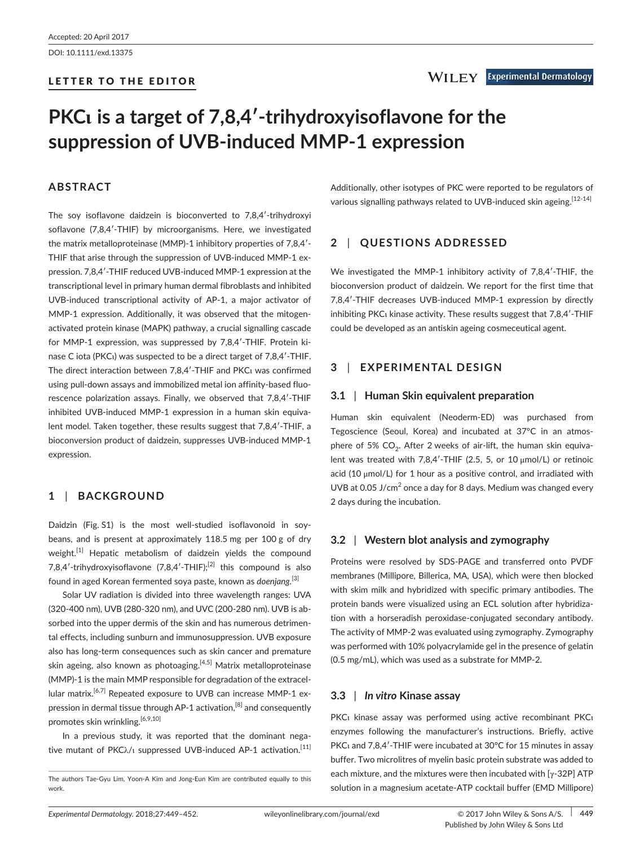DOI: 10.1111/exd.13375

# LETTER TO THE EDITOR

# **PKCι is a target of 7,8,4′-trihydroxyisoflavone for the suppression of UVB-induced MMP-1 expression**

# **ABSTRACT**

The soy isoflavone daidzein is bioconverted to 7,8,4′-trihydroxyi soflavone (7,8,4′-THIF) by microorganisms. Here, we investigated the matrix metalloproteinase (MMP)-1 inhibitory properties of 7,8,4′- THIF that arise through the suppression of UVB-induced MMP-1 expression. 7,8,4′-THIF reduced UVB-induced MMP-1 expression at the transcriptional level in primary human dermal fibroblasts and inhibited UVB-induced transcriptional activity of AP-1, a major activator of MMP-1 expression. Additionally, it was observed that the mitogenactivated protein kinase (MAPK) pathway, a crucial signalling cascade for MMP-1 expression, was suppressed by 7,8,4′-THIF. Protein kinase C iota (PKCι) was suspected to be a direct target of 7,8,4′-THIF. The direct interaction between 7,8,4′-THIF and PKCι was confirmed using pull-down assays and immobilized metal ion affinity-based fluorescence polarization assays. Finally, we observed that 7,8,4′-THIF inhibited UVB-induced MMP-1 expression in a human skin equivalent model. Taken together, these results suggest that 7,8,4′-THIF, a bioconversion product of daidzein, suppresses UVB-induced MMP-1 expression.

# **1** | **BACKGROUND**

Daidzin (Fig. S1) is the most well-studied isoflavonoid in soybeans, and is present at approximately 118.5 mg per 100 g of dry weight.<sup>[1]</sup> Hepatic metabolism of daidzein yields the compound 7,8,4'-trihydroxyisoflayone  $(7.8.4'$ -THIF $)^{2}$  this compound is also found in aged Korean fermented soya paste, known as *doenjang.*[3]

Solar UV radiation is divided into three wavelength ranges: UVA (320-400 nm), UVB (280-320 nm), and UVC (200-280 nm). UVB is absorbed into the upper dermis of the skin and has numerous detrimental effects, including sunburn and immunosuppression. UVB exposure also has long-term consequences such as skin cancer and premature skin ageing, also known as photoaging.<sup>[4,5]</sup> Matrix metalloproteinase (MMP)-1 is the main MMP responsible for degradation of the extracellular matrix.<sup>[6,7]</sup> Repeated exposure to UVB can increase MMP-1 expression in dermal tissue through AP-1 activation,[8] and consequently promotes skin wrinkling.<sup>[6,9,10]</sup>

In a previous study, it was reported that the dominant negative mutant of  $PKC\lambda/\iota$  suppressed UVB-induced AP-1 activation.<sup>[11]</sup> Additionally, other isotypes of PKC were reported to be regulators of various signalling pathways related to UVB-induced skin ageing. [12-14]

# **2** | **QUESTIONS ADDRESSED**

We investigated the MMP-1 inhibitory activity of 7,8,4′-THIF, the bioconversion product of daidzein. We report for the first time that 7,8,4′-THIF decreases UVB-induced MMP-1 expression by directly inhibiting PKCι kinase activity. These results suggest that 7,8,4′-THIF could be developed as an antiskin ageing cosmeceutical agent.

# **3** | **EXPERIMENTAL DESIGN**

## **3.1** | **Human Skin equivalent preparation**

Human skin equivalent (Neoderm-ED) was purchased from Tegoscience (Seoul, Korea) and incubated at 37°C in an atmosphere of 5%  $CO<sub>2</sub>$ . After 2 weeks of air-lift, the human skin equivalent was treated with 7,8,4′-THIF (2.5, 5, or 10 μmol/L) or retinoic acid (10 μmol/L) for 1 hour as a positive control, and irradiated with UVB at 0.05 J/cm<sup>2</sup> once a day for 8 days. Medium was changed every 2 days during the incubation.

# **3.2** | **Western blot analysis and zymography**

Proteins were resolved by SDS-PAGE and transferred onto PVDF membranes (Millipore, Billerica, MA, USA), which were then blocked with skim milk and hybridized with specific primary antibodies. The protein bands were visualized using an ECL solution after hybridization with a horseradish peroxidase-conjugated secondary antibody. The activity of MMP-2 was evaluated using zymography. Zymography was performed with 10% polyacrylamide gel in the presence of gelatin (0.5 mg/mL), which was used as a substrate for MMP-2.

## **3.3** | *In vitro* **Kinase assay**

PKCι kinase assay was performed using active recombinant PKCι enzymes following the manufacturer's instructions. Briefly, active PKCι and 7,8,4′-THIF were incubated at 30°C for 15 minutes in assay buffer. Two microlitres of myelin basic protein substrate was added to each mixture, and the mixtures were then incubated with [ $\gamma$ -32P] ATP solution in a magnesium acetate-ATP cocktail buffer (EMD Millipore)

The authors Tae-Gyu Lim, Yoon-A Kim and Jong-Eun Kim are contributed equally to this work.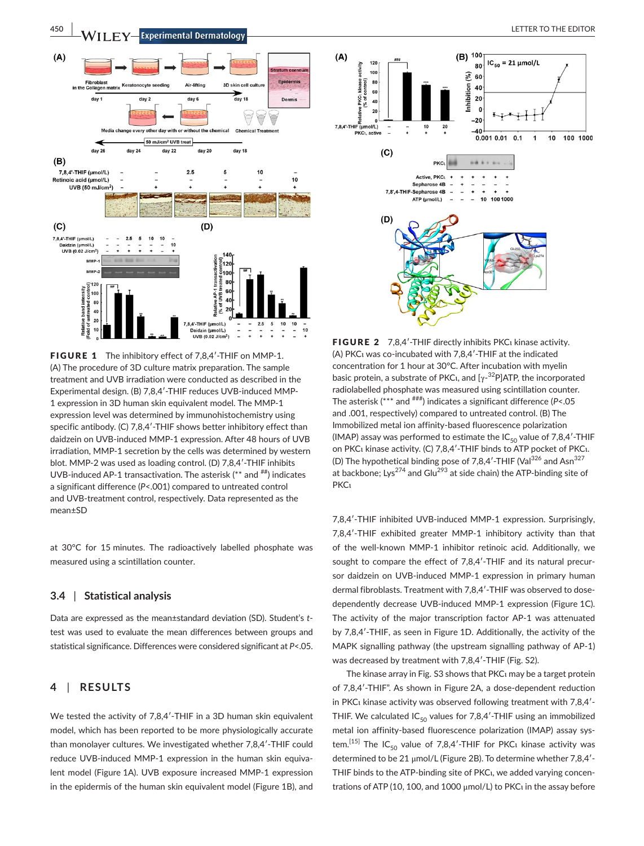

FIGURE 1 The inhibitory effect of 7.8.4'-THIF on MMP-1. (A) The procedure of 3D culture matrix preparation. The sample treatment and UVB irradiation were conducted as described in the Experimental design. (B) 7,8,4′-THIF reduces UVB-induced MMP-1 expression in 3D human skin equivalent model. The MMP-1 expression level was determined by immunohistochemistry using specific antibody. (C) 7,8,4′-THIF shows better inhibitory effect than daidzein on UVB-induced MMP-1 expression. After 48 hours of UVB irradiation, MMP-1 secretion by the cells was determined by western blot. MMP-2 was used as loading control. (D) 7,8,4′-THIF inhibits UVB-induced AP-1 transactivation. The asterisk (\*\* and  $^{#}$ ) indicates a significant difference (*P*<.001) compared to untreated control and UVB-treatment control, respectively. Data represented as the mean±SD

at 30°C for 15 minutes. The radioactively labelled phosphate was measured using a scintillation counter.

#### **3.4** | **Statistical analysis**

Data are expressed as the mean±standard deviation (SD). Student's *t*test was used to evaluate the mean differences between groups and statistical significance. Differences were considered significant at *P*<.05.

## **4** | **RESULTS**

We tested the activity of 7,8,4'-THIF in a 3D human skin equivalent model, which has been reported to be more physiologically accurate than monolayer cultures. We investigated whether 7,8,4′-THIF could reduce UVB-induced MMP-1 expression in the human skin equivalent model (Figure 1A). UVB exposure increased MMP-1 expression in the epidermis of the human skin equivalent model (Figure 1B), and



FIGURE 2 7,8,4'-THIF directly inhibits PKC<sub>1</sub> kinase activity. (A) PKCι was co-incubated with 7,8,4′-THIF at the indicated concentration for 1 hour at 30°C. After incubation with myelin basic protein, a substrate of PKCι, and  $[γ<sup>-32</sup>P]ATP$ , the incorporated radiolabelled phosphate was measured using scintillation counter. The asterisk (\*\*\* and ###) indicates a significant difference (*P*<.05 and .001, respectively) compared to untreated control. (B) The Immobilized metal ion affinity-based fluorescence polarization (IMAP) assay was performed to estimate the  $IC_{50}$  value of 7,8,4'-THIF on PKCι kinase activity. (C) 7,8,4′-THIF binds to ATP pocket of PKCι. (D) The hypothetical binding pose of  $7,8,4'$ -THIF (Val $^{326}$  and Asn $^{327}$ at backbone; Lys<sup>274</sup> and Glu<sup>293</sup> at side chain) the ATP-binding site of PKCι

7,8,4′-THIF inhibited UVB-induced MMP-1 expression. Surprisingly, 7,8,4′-THIF exhibited greater MMP-1 inhibitory activity than that of the well-known MMP-1 inhibitor retinoic acid. Additionally, we sought to compare the effect of 7,8,4′-THIF and its natural precursor daidzein on UVB-induced MMP-1 expression in primary human dermal fibroblasts. Treatment with 7,8,4′-THIF was observed to dosedependently decrease UVB-induced MMP-1 expression (Figure 1C). The activity of the major transcription factor AP-1 was attenuated by 7,8,4′-THIF, as seen in Figure 1D. Additionally, the activity of the MAPK signalling pathway (the upstream signalling pathway of AP-1) was decreased by treatment with 7,8,4′-THIF (Fig. S2).

The kinase array in Fig. S3 shows that PKCι may be a target protein of 7,8,4′-THIF". As shown in Figure 2A, a dose-dependent reduction in PKCι kinase activity was observed following treatment with 7,8,4′- THIF. We calculated  $IC_{50}$  values for 7,8,4'-THIF using an immobilized metal ion affinity-based fluorescence polarization (IMAP) assay system.<sup>[15]</sup> The IC<sub>50</sub> value of 7,8,4'-THIF for PKC<sub>1</sub> kinase activity was determined to be 21 μmol/L (Figure 2B). To determine whether 7,8,4′- THIF binds to the ATP-binding site of PKCι, we added varying concentrations of ATP (10, 100, and 1000 μmol/L) to PKCι in the assay before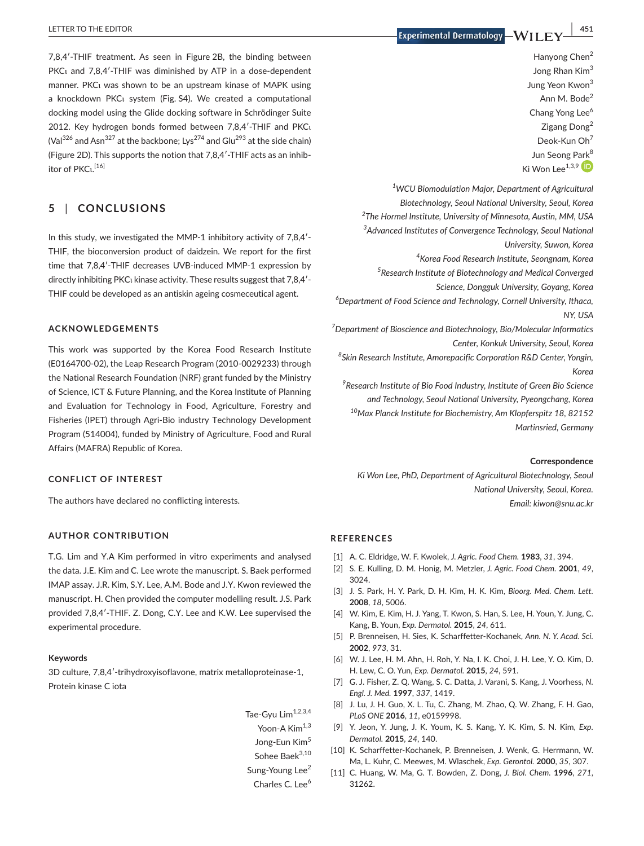7,8,4′-THIF treatment. As seen in Figure 2B, the binding between PKCι and 7,8,4′-THIF was diminished by ATP in a dose-dependent manner. PKCι was shown to be an upstream kinase of MAPK using a knockdown PKCι system (Fig. S4). We created a computational docking model using the Glide docking software in Schrödinger Suite 2012. Key hydrogen bonds formed between 7,8,4′-THIF and PKCι (Val<sup>326</sup> and Asn<sup>327</sup> at the backbone; Lys<sup>274</sup> and Glu<sup>293</sup> at the side chain) (Figure 2D). This supports the notion that 7,8,4′-THIF acts as an inhibitor of PKCι.<sup>[16]</sup>

## **5** | **CONCLUSIONS**

In this study, we investigated the MMP-1 inhibitory activity of 7,8,4′- THIF, the bioconversion product of daidzein. We report for the first time that 7,8,4′-THIF decreases UVB-induced MMP-1 expression by directly inhibiting PKCι kinase activity. These results suggest that 7,8,4′- THIF could be developed as an antiskin ageing cosmeceutical agent.

#### **ACKNOWLEDGEMENTS**

This work was supported by the Korea Food Research Institute (E0164700-02), the Leap Research Program (2010-0029233) through the National Research Foundation (NRF) grant funded by the Ministry of Science, ICT & Future Planning, and the Korea Institute of Planning and Evaluation for Technology in Food, Agriculture, Forestry and Fisheries (IPET) through Agri-Bio industry Technology Development Program (514004), funded by Ministry of Agriculture, Food and Rural Affairs (MAFRA) Republic of Korea.

#### **CONFLICT OF INTEREST**

The authors have declared no conflicting interests.

## **AUTHOR CONTRIBUTION**

T.G. Lim and Y.A Kim performed in vitro experiments and analysed the data. J.E. Kim and C. Lee wrote the manuscript. S. Baek performed IMAP assay. J.R. Kim, S.Y. Lee, A.M. Bode and J.Y. Kwon reviewed the manuscript. H. Chen provided the computer modelling result. J.S. Park provided 7,8,4′-THIF. Z. Dong, C.Y. Lee and K.W. Lee supervised the experimental procedure.

#### **Keywords**

3D culture, 7,8,4′-trihydroxyisoflavone, matrix metalloproteinase-1, Protein kinase C iota

- Tae-Gvu  $\text{Lim}^{1,2,3,4}$
- Yoon-A Kim<sup>1,3</sup>
- Jong-Eun Kim<sup>5</sup>
- Sohee Baek<sup>3,10</sup>
- Sung-Young Lee<sup>2</sup> Charles C. Lee<sup>6</sup>

 **EXPERTION EXPLORED EXPLORED ASSESS** TO THE EDITOR **A** LETTER TO THE EDITOR **A** LETTER TO THE EDITOR **A** LETTER TO THE EDITOR

Hanyong Chen<sup>2</sup> Jong Rhan Kim<sup>3</sup> Jung Yeon Kwon<sup>3</sup> Ann M. Bode<sup>2</sup> Chang Yong Lee<sup>6</sup> Zigang Dong<sup>2</sup> Deok-Kun Oh<sup>7</sup> Jun Seong P[ark](http://orcid.org/0000-0001-6302-2432)<sup>8</sup> Ki Won Lee<sup>1,3,9</sup>

*1 WCU Biomodulation Major, Department of Agricultural Biotechnology, Seoul National University, Seoul, Korea 2 The Hormel Institute, University of Minnesota, Austin, MM, USA 3 Advanced Institutes of Convergence Technology, Seoul National University, Suwon, Korea 4 Korea Food Research Institute, Seongnam, Korea 5 Research Institute of Biotechnology and Medical Converged Science, Dongguk University, Goyang, Korea 6 Department of Food Science and Technology, Cornell University, Ithaca, NY, USA 7 Department of Bioscience and Biotechnology, Bio/Molecular Informatics Center, Konkuk University, Seoul, Korea 8 Skin Research Institute, Amorepacific Corporation R&D Center, Yongin, Korea 9 Research Institute of Bio Food Industry, Institute of Green Bio Science* 

*and Technology, Seoul National University, Pyeongchang, Korea 10Max Planck Institute for Biochemistry, Am Klopferspitz 18, 82152 Martinsried, Germany*

#### **Correspondence**

*Ki Won Lee, PhD, Department of Agricultural Biotechnology, Seoul National University, Seoul, Korea. Email: [kiwon@snu.ac.kr](mailto:kiwon@snu.ac.kr)*

#### **REFERENCES**

- [1] A. C. Eldridge, W. F. Kwolek, *J. Agric. Food Chem.* **1983**, *31*, 394.
- [2] S. E. Kulling, D. M. Honig, M. Metzler, *J. Agric. Food Chem.* **2001**, *49*, 3024.
- [3] J. S. Park, H. Y. Park, D. H. Kim, H. K. Kim, *Bioorg. Med. Chem. Lett.* **2008**, *18*, 5006.
- [4] W. Kim, E. Kim, H. J. Yang, T. Kwon, S. Han, S. Lee, H. Youn, Y. Jung, C. Kang, B. Youn, *Exp. Dermatol.* **2015**, *24*, 611.
- [5] P. Brenneisen, H. Sies, K. Scharffetter-Kochanek, *Ann. N. Y. Acad. Sci.* **2002**, *973*, 31.
- [6] W. J. Lee, H. M. Ahn, H. Roh, Y. Na, I. K. Choi, J. H. Lee, Y. O. Kim, D. H. Lew, C. O. Yun, *Exp. Dermatol.* **2015**, *24*, 591.
- [7] G. J. Fisher, Z. Q. Wang, S. C. Datta, J. Varani, S. Kang, J. Voorhess, N. *Engl. J. Med.* **1997**, *337*, 1419.
- [8] J. Lu, J. H. Guo, X. L. Tu, C. Zhang, M. Zhao, Q. W. Zhang, F. H. Gao, *PLoS ONE* **2016**, *11*, e0159998.
- [9] Y. Jeon, Y. Jung, J. K. Youm, K. S. Kang, Y. K. Kim, S. N. Kim, *Exp. Dermatol.* **2015**, *24*, 140.
- [10] K. Scharffetter-Kochanek, P. Brenneisen, J. Wenk, G. Herrmann, W. Ma, L. Kuhr, C. Meewes, M. Wlaschek, *Exp. Gerontol.* **2000**, *35*, 307.
- [11] C. Huang, W. Ma, G. T. Bowden, Z. Dong, *J. Biol. Chem.* **1996**, *271*, 31262.